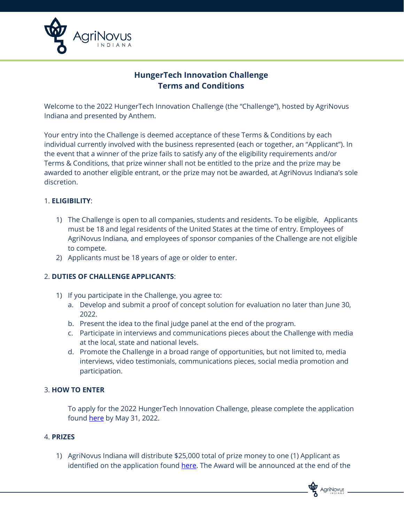

# **HungerTech Innovation Challenge Terms and Conditions**

Welcome to the 2022 HungerTech Innovation Challenge (the "Challenge"), hosted by AgriNovus Indiana and presented by Anthem.

Your entry into the Challenge is deemed acceptance of these Terms & Conditions by each individual currently involved with the business represented (each or together, an "Applicant"). In the event that a winner of the prize fails to satisfy any of the eligibility requirements and/or Terms & Conditions, that prize winner shall not be entitled to the prize and the prize may be awarded to another eligible entrant, or the prize may not be awarded, at AgriNovus Indiana's sole discretion.

## 1. **ELIGIBILITY**:

- 1) The Challenge is open to all companies, students and residents. To be eligible, Applicants must be 18 and legal residents of the United States at the time of entry. Employees of AgriNovus Indiana, and employees of sponsor companies of the Challenge are not eligible to compete.
- 2) Applicants must be 18 years of age or older to enter.

## 2. **DUTIES OF CHALLENGE APPLICANTS**:

- 1) If you participate in the Challenge, you agree to:
	- a. Develop and submit a proof of concept solution for evaluation no later than June 30, 2022.
	- b. Present the idea to the final judge panel at the end of the program.
	- c. Participate in interviews and communications pieces about the Challenge with media at the local, state and national levels.
	- d. Promote the Challenge in a broad range of opportunities, but not limited to, media interviews, video testimonials, communications pieces, social media promotion and participation.

## 3. **HOW TO ENTER**

To apply for the 2022 HungerTech Innovation Challenge, please complete the application found [here](https://agrinovusindiana.formstack.com/forms/2022hungertechchallenge) by May 31, 2022.

## 4. **PRIZES**

1) AgriNovus Indiana will distribute \$25,000 total of prize money to one (1) Applicant as identified on the application found [here.](https://agrinovusindiana.formstack.com/forms/2022hungertechchallenge) The Award will be announced at the end of the

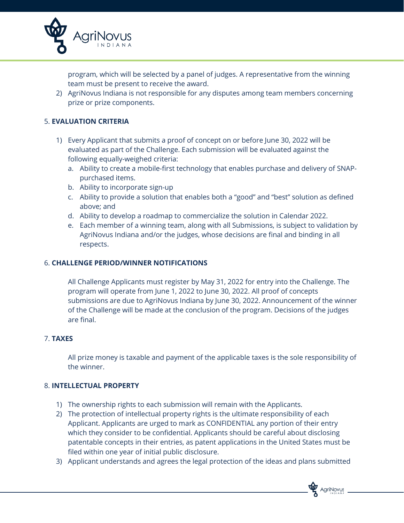

program, which will be selected by a panel of judges. A representative from the winning team must be present to receive the award.

2) AgriNovus Indiana is not responsible for any disputes among team members concerning prize or prize components.

## 5. **EVALUATION CRITERIA**

- 1) Every Applicant that submits a proof of concept on or before June 30, 2022 will be evaluated as part of the Challenge. Each submission will be evaluated against the following equally-weighed criteria:
	- a. Ability to create a mobile-first technology that enables purchase and delivery of SNAPpurchased items.
	- b. Ability to incorporate sign-up
	- c. Ability to provide a solution that enables both a "good" and "best" solution as defined above; and
	- d. Ability to develop a roadmap to commercialize the solution in Calendar 2022.
	- e. Each member of a winning team, along with all Submissions, is subject to validation by AgriNovus Indiana and/or the judges, whose decisions are final and binding in all respects.

## 6. **CHALLENGE PERIOD/WINNER NOTIFICATIONS**

All Challenge Applicants must register by May 31, 2022 for entry into the Challenge. The program will operate from June 1, 2022 to June 30, 2022. All proof of concepts submissions are due to AgriNovus Indiana by June 30, 2022. Announcement of the winner of the Challenge will be made at the conclusion of the program. Decisions of the judges are final.

## 7. **TAXES**

All prize money is taxable and payment of the applicable taxes is the sole responsibility of the winner.

## 8. **INTELLECTUAL PROPERTY**

- 1) The ownership rights to each submission will remain with the Applicants.
- 2) The protection of intellectual property rights is the ultimate responsibility of each Applicant. Applicants are urged to mark as CONFIDENTIAL any portion of their entry which they consider to be confidential. Applicants should be careful about disclosing patentable concepts in their entries, as patent applications in the United States must be filed within one year of initial public disclosure.
- 3) Applicant understands and agrees the legal protection of the ideas and plans submitted

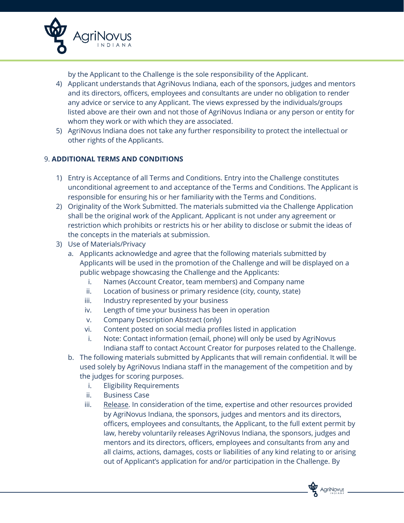

by the Applicant to the Challenge is the sole responsibility of the Applicant.

- 4) Applicant understands that AgriNovus Indiana, each of the sponsors, judges and mentors and its directors, officers, employees and consultants are under no obligation to render any advice or service to any Applicant. The views expressed by the individuals/groups listed above are their own and not those of AgriNovus Indiana or any person or entity for whom they work or with which they are associated.
- 5) AgriNovus Indiana does not take any further responsibility to protect the intellectual or other rights of the Applicants.

## 9. **ADDITIONAL TERMS AND CONDITIONS**

- 1) Entry is Acceptance of all Terms and Conditions. Entry into the Challenge constitutes unconditional agreement to and acceptance of the Terms and Conditions. The Applicant is responsible for ensuring his or her familiarity with the Terms and Conditions.
- 2) Originality of the Work Submitted. The materials submitted via the Challenge Application shall be the original work of the Applicant. Applicant is not under any agreement or restriction which prohibits or restricts his or her ability to disclose or submit the ideas of the concepts in the materials at submission.
- 3) Use of Materials/Privacy
	- a. Applicants acknowledge and agree that the following materials submitted by Applicants will be used in the promotion of the Challenge and will be displayed on a public webpage showcasing the Challenge and the Applicants:
		- i. Names (Account Creator, team members) and Company name
		- ii. Location of business or primary residence (city, county, state)
		- iii. Industry represented by your business
		- iv. Length of time your business has been in operation
		- v. Company Description Abstract (only)
		- vi. Content posted on social media profiles listed in application
		- i. Note: Contact information (email, phone) will only be used by AgriNovus Indiana staff to contact Account Creator for purposes related to the Challenge.
	- b. The following materials submitted by Applicants that will remain confidential. It will be used solely by AgriNovus Indiana staff in the management of the competition and by the judges for scoring purposes.
		- i. Eligibility Requirements
		- ii. Business Case
		- iii. Release. In consideration of the time, expertise and other resources provided by AgriNovus Indiana, the sponsors, judges and mentors and its directors, officers, employees and consultants, the Applicant, to the full extent permit by law, hereby voluntarily releases AgriNovus Indiana, the sponsors, judges and mentors and its directors, officers, employees and consultants from any and all claims, actions, damages, costs or liabilities of any kind relating to or arising out of Applicant's application for and/or participation in the Challenge. By